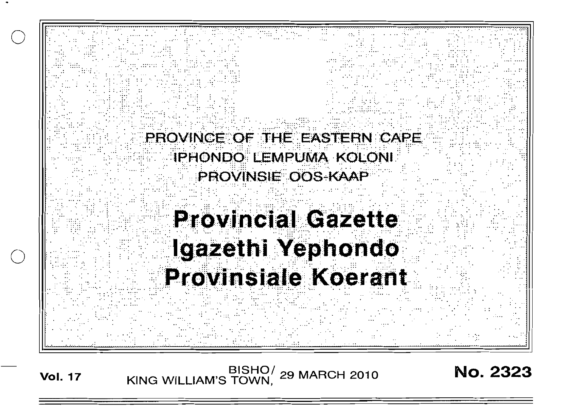

BISHO/ 29 MARCH 2010<br>KING WILLIAM'S TOWN, 29 MARCH 2010 **Vol. 17** 

**No. 2323**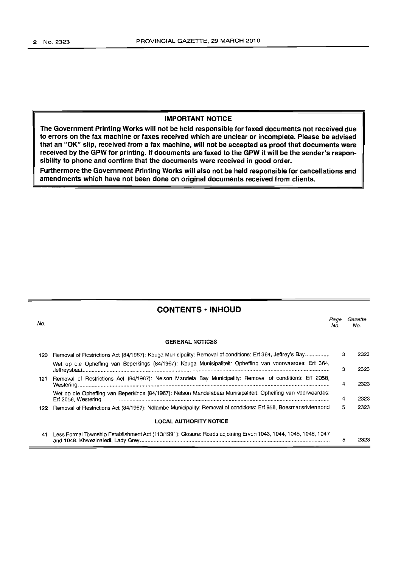## **IMPORTANT NOTICE**

**The Government Printing Works will not be held responsible for faxed documents not received due to errors on the fax machine or faxes received which are unclear or incomplete. Please be advised that an "OK" slip, received** from **a fax machine, will not be accepted as proof that documents were received by the GPW for printing. If documents are faxed to the GPW it will be the sender's responsibility to phone and confirm that the documents were received in good order.**

**Furthermore the Government Printing Works will also not be held responsible for cancellations and amendments which have not been done on original documents received from clients.**

| <b>CONTENTS · INHOUD</b> |                                                                                                                     |             |                |
|--------------------------|---------------------------------------------------------------------------------------------------------------------|-------------|----------------|
| No.                      |                                                                                                                     | Page<br>No. | Gazette<br>No. |
|                          | <b>GENERAL NOTICES</b>                                                                                              |             |                |
| 120                      | Removal of Restrictions Act (84/1967): Kouga Municipality: Removal of conditions: Erf 364, Jeffrey's Bay            | 3           | 2323           |
|                          | Wet op die Opheffing van Beperkings (84/1967): Kouga Munisipaliteit: Opheffing van voorwaardes: Erf 364,            | З           | 2323           |
| 121.                     | Removal of Restrictions Act (84/1967): Nelson Mandela Bay Municipality: Removal of conditions: Erf 2058,            | 4           | 2323           |
|                          | Wet op die Opheffing van Beperkings (84/1967): Nelson Mandelabaai Munisipaliteit: Opheffing van voorwaardes:        | 4           | 2323           |
|                          | 122 Removal of Restrictions Act (84/1967): Ndlambe Municipality: Removal of conditions: Erf 958, Boesmansriviermond | 5.          | 2323           |
|                          | <b>LOCAL AUTHORITY NOTICE</b>                                                                                       |             |                |
|                          | 41 Less Formal Township Establishment Act (113/1991); Closure: Roads adjoining Erven 1043, 1044, 1045, 1046, 1047   |             |                |

5

2323

and 1048, Khwezinaledi, Lady Grey .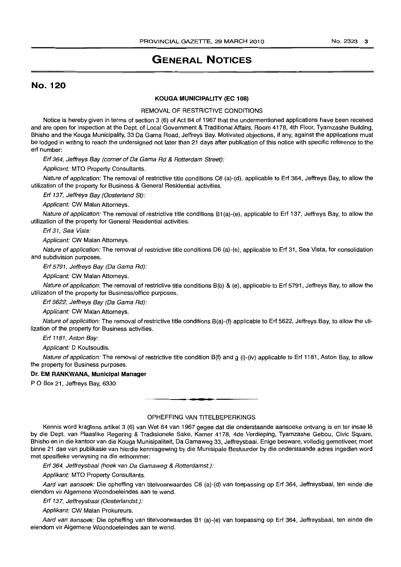# **GENERAL NOTICES**

# No. 120

#### **KOUGA MUNICIPALITY (EC 108)**

#### REMOVAL OF RESTRICTIVE CONDITIONS

Notice is hereby given in terms of section 3 (6) of Act 84 of 1967 that the undermentioned applications have been received and are open for inspection at the Dept. of Local Government & Traditional Affairs, Room 4178, 4th Floor, Tyamzashe Building, Bhisho and the Kouga Municipality, 33 Da Gama Road, Jeffreys Bay. Motivated objections, if any, against the applications must be lodged in writing to reach the undersigned not later than 21 days after publication of this notice with specific reference to the erf number:

Ert 364, Jeffreys Bay (corner of Da Gama Rd & Rotterdam Street):

Applicant: MTO Property Consultants.

Nature of application: The removal of restrictive title conditions C6 (a)-(d), applicable to Erf 364, Jeffreys Bay, to allow the utilization of the property for Business & General Residential activities.

Erf 137, Jeffreys Bay (Oosterland St):

Applicant: CW Malan Attorneys.

Nature of application: The removal of restrictive title conditions B1(a)-(e), applicable to Erf 137, Jeffreys Bay, to allow the utilization of the property for General Residential activities.

Erf 31, Sea Vista:

Applicant: CW Malan Attorneys.

Nature of application: The removal of restrictive title conditions D6 (a)-(e), applicable to Erf 31, Sea Vista, for consolidation and subdivision purposes.

Ert 5791, Jeffreys Bay (Da Gama Rd):

Applicant: CW Malan Attorneys.

Nature of application: The removal of restrictive title conditions B(b) & (e), applicable to Erf 5791, Jeffreys Bay, to allow the utilization of the property for Business/office purposes.

Ert 5622, Jeffreys Bay (Da Gama Rd):

Applicant: CW Malan Attorneys.

Nature of application: The removal of restrictive title conditions B(a)-(f) applicable to Erf 5622, Jeffreys Bay, to allow the utilization of the property for Business activities.

Ert 1181, Aston Bay:

Applicant: D Koutsoudis.

Nature of application: The removal of restrictive title condition B(f) and g (i)-(iv) applicable to Erf 1181, Aston Bay, to allow the property for Business purposes.

#### **Dr. EM RANKWANA, Municipal Manager**

PO Box 21, Jeffreys Bay, 6330

## OPHEFFING VAN TITELBEPERKINGS

**•**

Kennis word kragtens artikel 3 (6) van Wet 84 van 1967 gegee dat die onderstaande aansoeke ontvang is en ter insae Ie by die Dept. van Plaaslike Regering & Tradisionele Sake, Kamer 4178, 4de Verdieping, Tyamzashe Gebou, Civic Square, Bhisho en in die kantoor van die Kouga Munisipaliteit, Da Gamaweg 33, Jeffreysbaai. Enige besware, volledig gemotiveer, moet binne 21 dae van publikasie van hierdie kennisgewing by die Munisipale Bestuurder by die onderstaande adres ingedien word met spesifieke verwysing na die erfnommer:

Ert 364, Jeffreysbaai (hoek van Da Gamaweg & Rotterdamst.):

Applikant: MTO Property Consultants.

Aard van aansoek: Die opheffing van titelvoorwaardes C6 (a)-(d) van toepassing op Erf 364, Jeffreysbaai, ten einde die eiendom vir Aigemene Woondoeleindes aan te wend.

Ert 137, Jeffreysbaai (Oosterlandst.):

Applikant: CW Malan Prokureurs.

Aard van aansoek: Die opheffing van titelvoorwaardes B1 (a)-(e) van toepassing op Erf 364, Jeffreysbaai, ten einde die eiendom vir Aigemene Woondoeleindes aan te wend.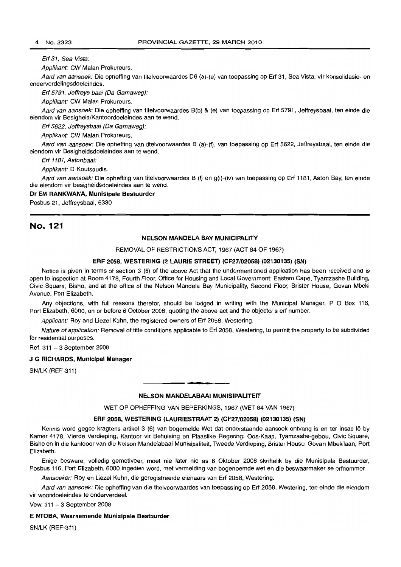#### Erf 31, Sea Vista:

Applikant: CW Malan Prokureurs.

Aard van aansoek: Die opheffing van titelvoorwaardes D6 (a)-(e) van toepassing op Erf 31, Sea Vista, vir konsolidasie- en onderverdelingsdoeleindes.

Erf 5791, Jeffreys baai (Da Gamaweg):

Applikant: CW Malan Prokureurs.

Aard van aansoek: Die opheffing van titelvoorwaardes B(b) & (e) van toepassing op Erf 5791, Jeffreysbaai, ten einde die eiendom vir Besigheid/Kantoordoeleindes aan te wend.

Erf 5622, Jeffreysbaai (Da Gamaweg):

Applikant: CW Malan Prokureurs.

Aard van aansoek: Die opheffing van titelvoorwaardes B (a)-(f), van toepassing op Erf 5622, Jeffreysbaai, ten einde die eiendom vir Besigheidsdoeleindes aan te wend.

Erf 1181, Astonbaai:

Applikant: D Koutsoudis.

Aard van aansoek: Die opheffing van titelvoorwaardes B (f) en g(i)-(iv) van toepassing op Erf 1181, Aston Bay, ten einde die eiendom vir besigheidsdoeleindes aan te wend.

#### **Dr EM RANKWANA, Munisipale Bestuurder**

Posbus 21, Jeffreysbaai, 6330

# No. 121

#### **NELSON MANDELA BAY MUNICIPALITY**

REMOVAL OF RESTRICTIONS ACT, 1967 (ACT 84 OF 1967)

### **ERF 2058, WESTERING (2 LAURIE STREET) (CF27/02058) (02130135) (SN)**

Notice is given in terms of section 3 (6) of the above Act that the undermentioned application has been received and is open to inspection at Room 4178, Fourth Floor, Office for Housing and Local Government: Eastern Cape, Iyamzashe Building, Civic Square, Bisho, and at the office of the Nelson Mandela Bay Municipality, Second Floor, Brister House, Govan Mbeki Avenue, Port Elizabeth.

Any objections, with full reasons therefor, should be lodged in writing with the Municipal Manager, POBox 116, Port Elizabeth, 6000, on or before 6 October 2008, quoting the above act and the objector's ert number.

Applicant: Roy and Liezel Kuhn, the registered owners of Erf 2058, Westering.

Nature of application: Removal of title conditions applicable to Erf 2058, Westering, to permit the property to be subdivided for residential purposes.

Ref.  $311 - 3$  September 2008

#### J **G RICHARDS, Municipal Manager**

SN/LK (REF-311)

#### **NELSON MANDELABAAI MUNISIPALITEIT**

**• •**

WET OP OPHEFFING VAN BEPERKINGS, 1967 (WET 84 VAN 1967)

### **ERF 2058, WESTERING (LAURIESTRAAT 2) (CF27/02058) (02130135) (SN)**

Kennis word gegee kragtens artikel 3 (6) van bogemelde Wet dat onderstaande aansoek ontvang is en ter insae lê by Kamer 4178, Vierde Verdieping, Kantoor vir Behuising en Plaaslike Regering: Oos-Kaap, Tyamzashe-gebou, Civic Square, Bisho en in die kantooor van die Nelson Mandelabaai Munisipaliteit, Tweede Verdieping, Brister House, Govan Mbekilaan, Port Elizabeth.

Enige besware, volledig gemotiveer, moet nie later nie as 6 Oktober 2008 skriftelik by die Munisipale Bestuurder, Posbus 116, Port Elizabeth, 6000 ingedien word, met vermelding van bogenoemde wet en die beswaarmaker se erfnommer.

Aansoeker: Roy en Liezel Kuhn, die geregistreerde eienaars van Erf 2058, Westering.

Aard van aansoek: Die opheffing van die titelvoorwaardes van toepassing op Erf 2058, Westering, ten einde die eiendom vir woondoeleindes te onderverdeel.

Vew. 311 - 3 September 2008

#### **E NTOBA, Waarnemende Munisipale Bestuurder**

SN/LK (REF-311)